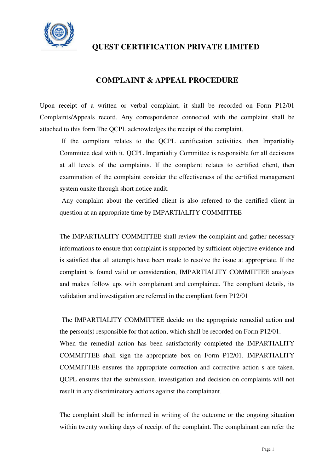

## **COMPLAINT & APPEAL PROCEDURE**

Upon receipt of a written or verbal complaint, it shall be recorded on Form P12/01 Complaints/Appeals record. Any correspondence connected with the complaint shall be attached to this form.The QCPL acknowledges the receipt of the complaint.

 If the compliant relates to the QCPL certification activities, then Impartiality Committee deal with it. QCPL Impartiality Committee is responsible for all decisions at all levels of the complaints. If the complaint relates to certified client, then examination of the complaint consider the effectiveness of the certified management system onsite through short notice audit.

 Any complaint about the certified client is also referred to the certified client in question at an appropriate time by IMPARTIALITY COMMITTEE

 The IMPARTIALITY COMMITTEE shall review the complaint and gather necessary informations to ensure that complaint is supported by sufficient objective evidence and is satisfied that all attempts have been made to resolve the issue at appropriate. If the complaint is found valid or consideration, IMPARTIALITY COMMITTEE analyses and makes follow ups with complainant and complainee. The compliant details, its validation and investigation are referred in the compliant form P12/01

 The IMPARTIALITY COMMITTEE decide on the appropriate remedial action and the person(s) responsible for that action, which shall be recorded on Form P12/01. When the remedial action has been satisfactorily completed the IMPARTIALITY COMMITTEE shall sign the appropriate box on Form P12/01. IMPARTIALITY COMMITTEE ensures the appropriate correction and corrective action s are taken. QCPL ensures that the submission, investigation and decision on complaints will not result in any discriminatory actions against the complainant.

 The complaint shall be informed in writing of the outcome or the ongoing situation within twenty working days of receipt of the complaint. The complainant can refer the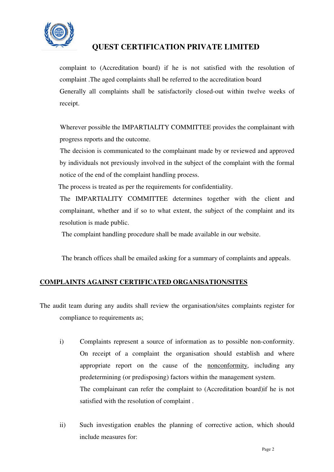

complaint to (Accreditation board) if he is not satisfied with the resolution of complaint .The aged complaints shall be referred to the accreditation board Generally all complaints shall be satisfactorily closed-out within twelve weeks of receipt.

 Wherever possible the IMPARTIALITY COMMITTEE provides the complainant with progress reports and the outcome.

 The decision is communicated to the complainant made by or reviewed and approved by individuals not previously involved in the subject of the complaint with the formal notice of the end of the complaint handling process.

The process is treated as per the requirements for confidentiality.

 The IMPARTIALITY COMMITTEE determines together with the client and complainant, whether and if so to what extent, the subject of the complaint and its resolution is made public.

The complaint handling procedure shall be made available in our website.

The branch offices shall be emailed asking for a summary of complaints and appeals.

### **COMPLAINTS AGAINST CERTIFICATED ORGANISATION/SITES**

The audit team during any audits shall review the organisation/sites complaints register for compliance to requirements as;

- i) Complaints represent a source of information as to possible non-conformity. On receipt of a complaint the organisation should establish and where appropriate report on the cause of the nonconformity, including any predetermining (or predisposing) factors within the management system. The complainant can refer the complaint to (Accreditation board)if he is not satisfied with the resolution of complaint .
- ii) Such investigation enables the planning of corrective action, which should include measures for: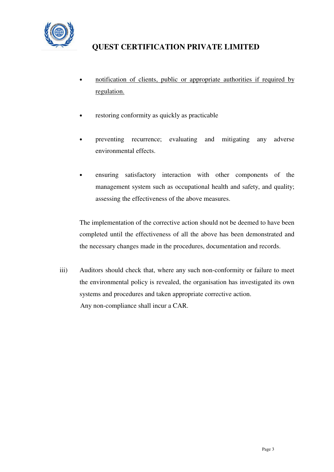

- notification of clients, public or appropriate authorities if required by regulation.
- restoring conformity as quickly as practicable
- preventing recurrence; evaluating and mitigating any adverse environmental effects.
- ensuring satisfactory interaction with other components of the management system such as occupational health and safety, and quality; assessing the effectiveness of the above measures.

The implementation of the corrective action should not be deemed to have been completed until the effectiveness of all the above has been demonstrated and the necessary changes made in the procedures, documentation and records.

iii) Auditors should check that, where any such non-conformity or failure to meet the environmental policy is revealed, the organisation has investigated its own systems and procedures and taken appropriate corrective action. Any non-compliance shall incur a CAR.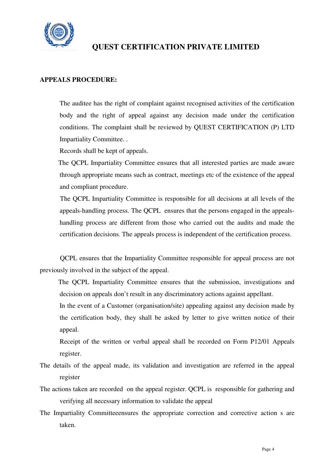

#### **APPEALS PROCEDURE:**

 The auditee has the right of complaint against recognised activities of the certification body and the right of appeal against any decision made under the certification conditions. The complaint shall be reviewed by QUEST CERTIFICATION (P) LTD Impartiality Committee. .

Records shall be kept of appeals.

 The QCPL Impartiality Committee ensures that all interested parties are made aware through appropriate means such as contract, meetings etc of the existence of the appeal and compliant procedure.

 The QCPL Impartiality Committee is responsible for all decisions at all levels of the appeals-handling process. The QCPL ensures that the persons engaged in the appealshandling process are different from those who carried out the audits and made the certification decisions. The appeals process is independent of the certification process.

 QCPL ensures that the Impartiality Committee responsible for appeal process are not previously involved in the subject of the appeal.

 The QCPL Impartiality Committee ensures that the submission, investigations and decision on appeals don't result in any discriminatory actions against appellant.

 In the event of a Customer (organisation/site) appealing against any decision made by the certification body, they shall be asked by letter to give written notice of their appeal.

 Receipt of the written or verbal appeal shall be recorded on Form P12/01 Appeals register.

- The details of the appeal made, its validation and investigation are referred in the appeal register
- The actions taken are recorded on the appeal register. QCPL is responsible for gathering and verifying all necessary information to validate the appeal
- The Impartiality Committeeensures the appropriate correction and corrective action s are taken.